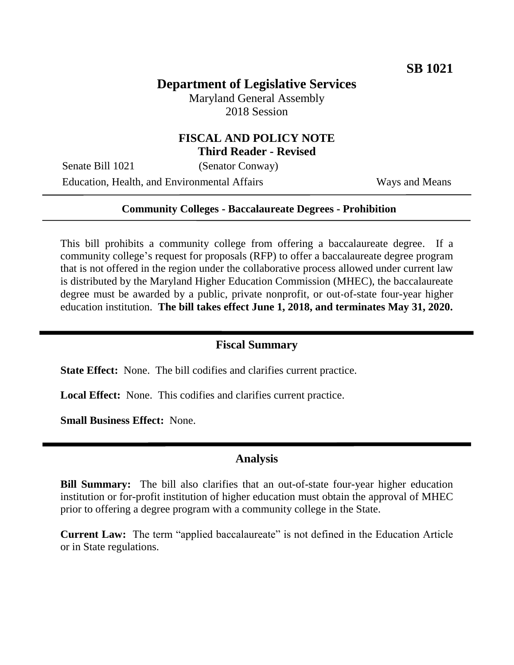# **Department of Legislative Services**

Maryland General Assembly 2018 Session

## **FISCAL AND POLICY NOTE Third Reader - Revised**

Senate Bill 1021 (Senator Conway)

Education, Health, and Environmental Affairs Ways and Means

#### **Community Colleges - Baccalaureate Degrees - Prohibition**

This bill prohibits a community college from offering a baccalaureate degree. If a community college's request for proposals (RFP) to offer a baccalaureate degree program that is not offered in the region under the collaborative process allowed under current law is distributed by the Maryland Higher Education Commission (MHEC), the baccalaureate degree must be awarded by a public, private nonprofit, or out-of-state four-year higher education institution. **The bill takes effect June 1, 2018, and terminates May 31, 2020.**

#### **Fiscal Summary**

**State Effect:** None. The bill codifies and clarifies current practice.

**Local Effect:** None. This codifies and clarifies current practice.

**Small Business Effect:** None.

## **Analysis**

**Bill Summary:** The bill also clarifies that an out-of-state four-year higher education institution or for-profit institution of higher education must obtain the approval of MHEC prior to offering a degree program with a community college in the State.

**Current Law:** The term "applied baccalaureate" is not defined in the Education Article or in State regulations.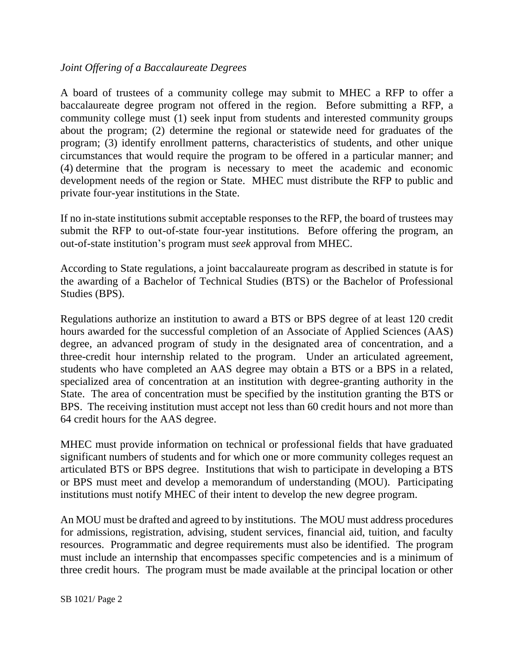## *Joint Offering of a Baccalaureate Degrees*

A board of trustees of a community college may submit to MHEC a RFP to offer a baccalaureate degree program not offered in the region. Before submitting a RFP, a community college must (1) seek input from students and interested community groups about the program; (2) determine the regional or statewide need for graduates of the program; (3) identify enrollment patterns, characteristics of students, and other unique circumstances that would require the program to be offered in a particular manner; and (4) determine that the program is necessary to meet the academic and economic development needs of the region or State. MHEC must distribute the RFP to public and private four-year institutions in the State.

If no in-state institutions submit acceptable responses to the RFP, the board of trustees may submit the RFP to out-of-state four-year institutions. Before offering the program, an out-of-state institution's program must *seek* approval from MHEC.

According to State regulations, a joint baccalaureate program as described in statute is for the awarding of a Bachelor of Technical Studies (BTS) or the Bachelor of Professional Studies (BPS).

Regulations authorize an institution to award a BTS or BPS degree of at least 120 credit hours awarded for the successful completion of an Associate of Applied Sciences (AAS) degree, an advanced program of study in the designated area of concentration, and a three-credit hour internship related to the program. Under an articulated agreement, students who have completed an AAS degree may obtain a BTS or a BPS in a related, specialized area of concentration at an institution with degree-granting authority in the State. The area of concentration must be specified by the institution granting the BTS or BPS. The receiving institution must accept not less than 60 credit hours and not more than 64 credit hours for the AAS degree.

MHEC must provide information on technical or professional fields that have graduated significant numbers of students and for which one or more community colleges request an articulated BTS or BPS degree. Institutions that wish to participate in developing a BTS or BPS must meet and develop a memorandum of understanding (MOU). Participating institutions must notify MHEC of their intent to develop the new degree program.

An MOU must be drafted and agreed to by institutions. The MOU must address procedures for admissions, registration, advising, student services, financial aid, tuition, and faculty resources. Programmatic and degree requirements must also be identified. The program must include an internship that encompasses specific competencies and is a minimum of three credit hours. The program must be made available at the principal location or other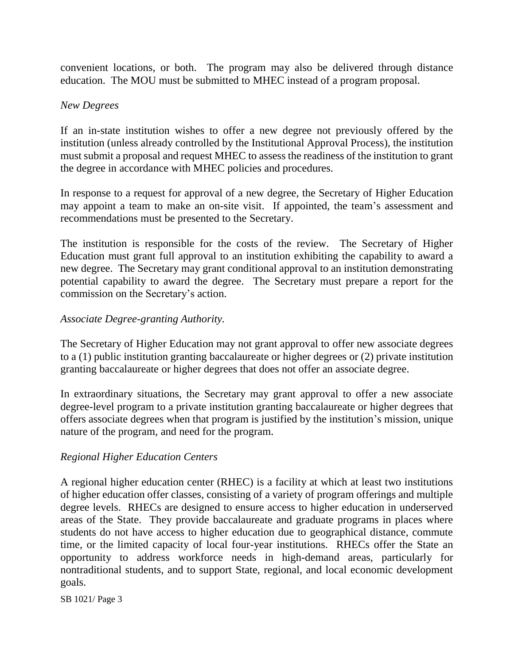convenient locations, or both. The program may also be delivered through distance education. The MOU must be submitted to MHEC instead of a program proposal.

#### *New Degrees*

If an in-state institution wishes to offer a new degree not previously offered by the institution (unless already controlled by the Institutional Approval Process), the institution must submit a proposal and request MHEC to assess the readiness of the institution to grant the degree in accordance with MHEC policies and procedures.

In response to a request for approval of a new degree, the Secretary of Higher Education may appoint a team to make an on-site visit. If appointed, the team's assessment and recommendations must be presented to the Secretary.

The institution is responsible for the costs of the review. The Secretary of Higher Education must grant full approval to an institution exhibiting the capability to award a new degree. The Secretary may grant conditional approval to an institution demonstrating potential capability to award the degree. The Secretary must prepare a report for the commission on the Secretary's action.

## *Associate Degree-granting Authority.*

The Secretary of Higher Education may not grant approval to offer new associate degrees to a (1) public institution granting baccalaureate or higher degrees or (2) private institution granting baccalaureate or higher degrees that does not offer an associate degree.

In extraordinary situations, the Secretary may grant approval to offer a new associate degree-level program to a private institution granting baccalaureate or higher degrees that offers associate degrees when that program is justified by the institution's mission, unique nature of the program, and need for the program.

## *Regional Higher Education Centers*

A regional higher education center (RHEC) is a facility at which at least two institutions of higher education offer classes, consisting of a variety of program offerings and multiple degree levels. RHECs are designed to ensure access to higher education in underserved areas of the State. They provide baccalaureate and graduate programs in places where students do not have access to higher education due to geographical distance, commute time, or the limited capacity of local four-year institutions. RHECs offer the State an opportunity to address workforce needs in high-demand areas, particularly for nontraditional students, and to support State, regional, and local economic development goals.

SB 1021/ Page 3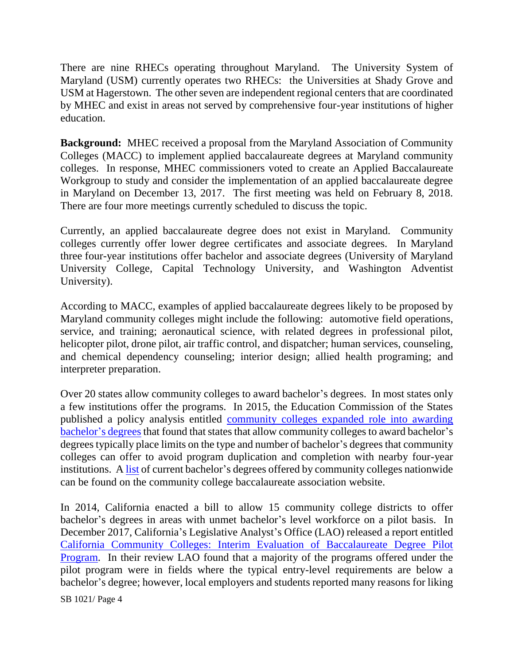There are nine RHECs operating throughout Maryland. The University System of Maryland (USM) currently operates two RHECs: the Universities at Shady Grove and USM at Hagerstown. The other seven are independent regional centers that are coordinated by MHEC and exist in areas not served by comprehensive four-year institutions of higher education.

**Background:** MHEC received a proposal from the Maryland Association of Community Colleges (MACC) to implement applied baccalaureate degrees at Maryland community colleges. In response, MHEC commissioners voted to create an Applied Baccalaureate Workgroup to study and consider the implementation of an applied baccalaureate degree in Maryland on December 13, 2017. The first meeting was held on February 8, 2018. There are four more meetings currently scheduled to discuss the topic.

Currently, an applied baccalaureate degree does not exist in Maryland. Community colleges currently offer lower degree certificates and associate degrees. In Maryland three four-year institutions offer bachelor and associate degrees (University of Maryland University College, Capital Technology University, and Washington Adventist University).

According to MACC, examples of applied baccalaureate degrees likely to be proposed by Maryland community colleges might include the following: automotive field operations, service, and training; aeronautical science, with related degrees in professional pilot, helicopter pilot, drone pilot, air traffic control, and dispatcher; human services, counseling, and chemical dependency counseling; interior design; allied health programing; and interpreter preparation.

Over 20 states allow community colleges to award bachelor's degrees. In most states only a few institutions offer the programs. In 2015, the Education Commission of the States published a policy analysis entitled [community colleges expanded role into awarding](https://www.ecs.org/clearinghouse/01/18/27/11827.pdf)  [bachelor's degrees](https://www.ecs.org/clearinghouse/01/18/27/11827.pdf) that found that states that allow community colleges to award bachelor's degrees typically place limits on the type and number of bachelor's degrees that community colleges can offer to avoid program duplication and completion with nearby four-year institutions. A [list](http://www.accbd.org/wp-content/uploads/2013/10/Conferring-Institutions.pdf?ct=US&stp=UT) of current bachelor's degrees offered by community colleges nationwide can be found on the community college baccalaureate association website.

In 2014, California enacted a bill to allow 15 community college districts to offer bachelor's degrees in areas with unmet bachelor's level workforce on a pilot basis. In December 2017, California's Legislative Analyst's Office (LAO) released a report entitled [California Community Colleges: Interim Evaluation of Baccalaureate Degree Pilot](https://urldefense.proofpoint.com/v2/url?u=http-3A__lao.ca.gov_reports_2017_3722_ccc-2Dbaccalaureate-2D121917.pdf&d=DwMFaQ&c=Gp5PoQfTj9yjDt8XV2x6aql0UnCZXhNkdBYbfDClWas&r=CpmVj6vKe_BTsMJDhMgw6gwJytnnyqiqcfoQdaTJoUo&m=GM8a_LhEtBk6e7lDtV-vmLulushv1YyAd_WsJz9KzqQ&s=8vV5448tTyn8MwecXYCFgC7CMfjcs0sMnZwuIU3HPy4&e=)  [Program.](https://urldefense.proofpoint.com/v2/url?u=http-3A__lao.ca.gov_reports_2017_3722_ccc-2Dbaccalaureate-2D121917.pdf&d=DwMFaQ&c=Gp5PoQfTj9yjDt8XV2x6aql0UnCZXhNkdBYbfDClWas&r=CpmVj6vKe_BTsMJDhMgw6gwJytnnyqiqcfoQdaTJoUo&m=GM8a_LhEtBk6e7lDtV-vmLulushv1YyAd_WsJz9KzqQ&s=8vV5448tTyn8MwecXYCFgC7CMfjcs0sMnZwuIU3HPy4&e=) In their review LAO found that a majority of the programs offered under the pilot program were in fields where the typical entry-level requirements are below a bachelor's degree; however, local employers and students reported many reasons for liking

SB 1021/ Page 4